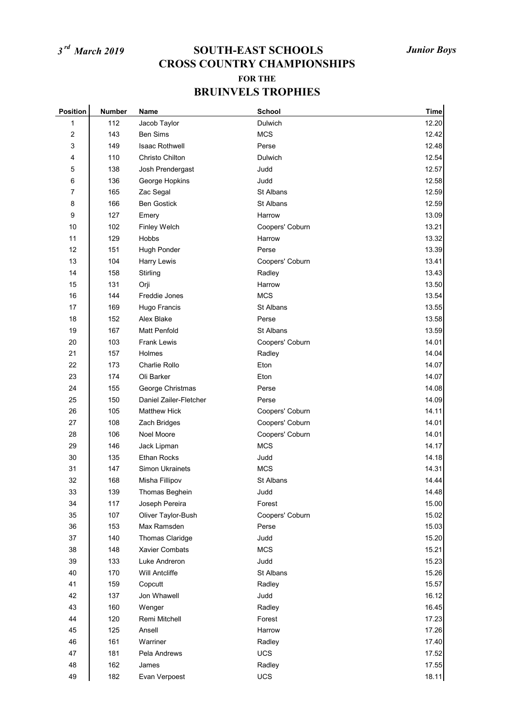| <b>Position</b> | <b>Number</b> | Name                   | School          | <b>Time</b> |
|-----------------|---------------|------------------------|-----------------|-------------|
| 1               | 112           | Jacob Taylor           | Dulwich         | 12.20       |
| 2               | 143           | <b>Ben Sims</b>        | <b>MCS</b>      | 12.42       |
| 3               | 149           | <b>Isaac Rothwell</b>  | Perse           | 12.48       |
| 4               | 110           | Christo Chilton        | Dulwich         | 12.54       |
| 5               | 138           | Josh Prendergast       | Judd            | 12.57       |
| 6               | 136           | George Hopkins         | Judd            | 12.58       |
| 7               | 165           | Zac Segal              | St Albans       | 12.59       |
| 8               | 166           | <b>Ben Gostick</b>     | St Albans       | 12.59       |
| 9               | 127           | Emery                  | Harrow          | 13.09       |
| 10              | 102           | Finley Welch           | Coopers' Coburn | 13.21       |
| 11              | 129           | Hobbs                  | Harrow          | 13.32       |
| 12              | 151           | Hugh Ponder            | Perse           | 13.39       |
| 13              | 104           | <b>Harry Lewis</b>     | Coopers' Coburn | 13.41       |
| 14              | 158           | Stirling               | Radley          | 13.43       |
| 15              | 131           | Orji                   | Harrow          | 13.50       |
| 16              | 144           | Freddie Jones          | <b>MCS</b>      | 13.54       |
| 17              | 169           | Hugo Francis           | St Albans       | 13.55       |
| 18              | 152           | Alex Blake             | Perse           | 13.58       |
| 19              | 167           | <b>Matt Penfold</b>    | St Albans       | 13.59       |
| 20              | 103           | <b>Frank Lewis</b>     | Coopers' Coburn | 14.01       |
| 21              | 157           | Holmes                 | Radley          | 14.04       |
| 22              | 173           | Charlie Rollo          | Eton            | 14.07       |
| 23              | 174           | Oli Barker             | Eton            | 14.07       |
| 24              | 155           | George Christmas       | Perse           | 14.08       |
| 25              | 150           | Daniel Zailer-Fletcher | Perse           | 14.09       |
| 26              | 105           | <b>Matthew Hick</b>    | Coopers' Coburn | 14.11       |
| 27              | 108           | Zach Bridges           | Coopers' Coburn | 14.01       |
| 28              | 106           | Noel Moore             | Coopers' Coburn | 14.01       |
| 29              | 146           | Jack Lipman            | <b>MCS</b>      | 14.17       |
| 30              | 135           | <b>Ethan Rocks</b>     | Judd            | 14.18       |
| 31              | 147           | Simon Ukrainets        | <b>MCS</b>      | 14.31       |
| 32              | 168           | Misha Fillipov         | St Albans       | 14.44       |
| 33              | 139           | Thomas Beghein         | Judd            | 14.48       |
| 34              | 117           | Joseph Pereira         | Forest          | 15.00       |
| 35              | 107           | Oliver Taylor-Bush     | Coopers' Coburn | 15.02       |
| 36              | 153           | Max Ramsden            | Perse           | 15.03       |
| 37              | 140           | Thomas Claridge        | Judd            | 15.20       |
| 38              | 148           | Xavier Combats         | <b>MCS</b>      | 15.21       |
| 39              | 133           | Luke Andreron          | Judd            | 15.23       |
| 40              | 170           | Will Antcliffe         | St Albans       | 15.26       |
| 41              | 159           | Copcutt                | Radley          | 15.57       |
| 42              | 137           | Jon Whawell            | Judd            | 16.12       |
| 43              | 160           | Wenger                 | Radley          | 16.45       |
| 44              | 120           | Remi Mitchell          | Forest          | 17.23       |
| 45              | 125           | Ansell                 | Harrow          | 17.26       |
| 46              | 161           | Warriner               | Radley          | 17.40       |
| 47              | 181           | Pela Andrews           | UCS             | 17.52       |
| 48              | 162           | James                  | Radley          | 17.55       |
| 49              | 182           | Evan Verpoest          | UCS             | 18.11       |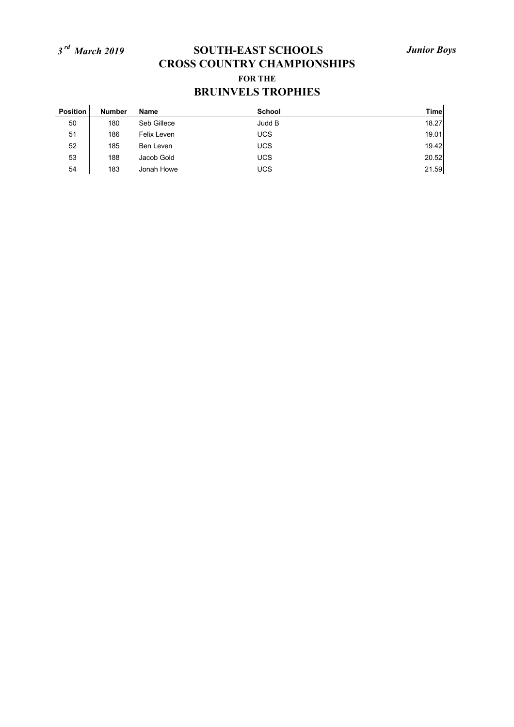| <b>Position</b> | <b>Number</b> | Name        | <b>School</b> | <b>Time</b> |
|-----------------|---------------|-------------|---------------|-------------|
| 50              | 180           | Seb Gillece | Judd B        | 18.27       |
| 51              | 186           | Felix Leven | <b>UCS</b>    | 19.01       |
| 52              | 185           | Ben Leven   | <b>UCS</b>    | 19.42       |
| 53              | 188           | Jacob Gold  | <b>UCS</b>    | 20.52       |
| 54              | 183           | Jonah Howe  | <b>UCS</b>    | 21.59       |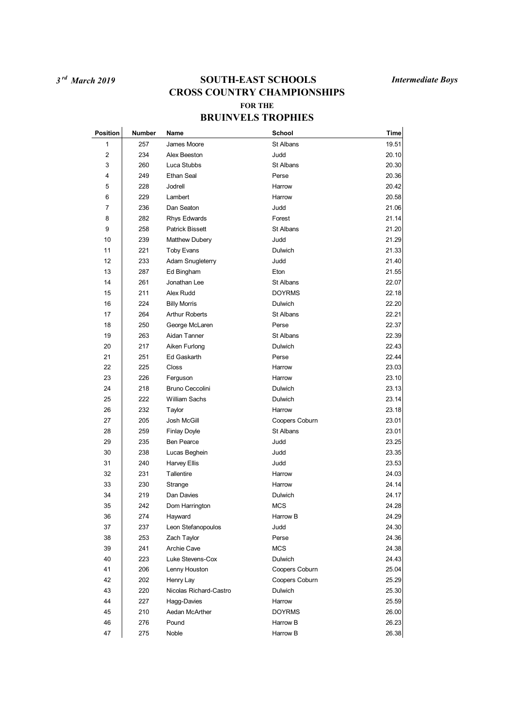| Position                | Number | <b>Name</b>            | <b>School</b>  | Time  |
|-------------------------|--------|------------------------|----------------|-------|
| 1                       | 257    | James Moore            | St Albans      | 19.51 |
| $\overline{\mathbf{c}}$ | 234    | Alex Beeston           | Judd           | 20.10 |
| 3                       | 260    | Luca Stubbs            | St Albans      | 20.30 |
| 4                       | 249    | Ethan Seal             | Perse          | 20.36 |
| 5                       | 228    | Jodrell                | Harrow         | 20.42 |
| 6                       | 229    | Lambert                | Harrow         | 20.58 |
| 7                       | 236    | Dan Seaton             | Judd           | 21.06 |
| 8                       | 282    | Rhys Edwards           | Forest         | 21.14 |
| 9                       | 258    | <b>Patrick Bissett</b> | St Albans      | 21.20 |
| 10                      | 239    | Matthew Dubery         | Judd           | 21.29 |
| 11                      | 221    | Toby Evans             | Dulwich        | 21.33 |
| 12                      | 233    | Adam Snugleterry       | Judd           | 21.40 |
| 13                      | 287    | Ed Bingham             | Eton           | 21.55 |
| 14                      | 261    | Jonathan Lee           | St Albans      | 22.07 |
| 15                      | 211    | Alex Rudd              | <b>DOYRMS</b>  | 22.18 |
| 16                      | 224    | <b>Billy Morris</b>    | Dulwich        | 22.20 |
| 17                      | 264    | <b>Arthur Roberts</b>  | St Albans      | 22.21 |
| 18                      | 250    | George McLaren         | Perse          | 22.37 |
| 19                      | 263    | Aidan Tanner           | St Albans      | 22.39 |
| 20                      | 217    | Aiken Furlong          | Dulwich        | 22.43 |
| 21                      | 251    | <b>Ed Gaskarth</b>     | Perse          | 22.44 |
| 22                      | 225    | Closs                  | Harrow         | 23.03 |
| 23                      | 226    | Ferguson               | Harrow         | 23.10 |
| 24                      | 218    | Bruno Ceccolini        | <b>Dulwich</b> | 23.13 |
| 25                      | 222    | William Sachs          | Dulwich        | 23.14 |
| 26                      | 232    | Taylor                 | Harrow         | 23.18 |
| 27                      | 205    | Josh McGill            | Coopers Coburn | 23.01 |
| 28                      | 259    | <b>Finlay Doyle</b>    | St Albans      | 23.01 |
| 29                      | 235    | <b>Ben Pearce</b>      | Judd           | 23.25 |
| 30                      | 238    | Lucas Beghein          | Judd           | 23.35 |
| 31                      | 240    | <b>Harvey Ellis</b>    | Judd           | 23.53 |
| 32                      | 231    | Tallentire             | Harrow         | 24.03 |
| 33                      | 230    | Strange                | Harrow         | 24.14 |
| 34                      | 219    | Dan Davies             | Dulwich        | 24.17 |
| 35                      | 242    | Dom Harrington         | <b>MCS</b>     | 24.28 |
| 36                      | 274    | Hayward                | Harrow B       | 24.29 |
| 37                      | 237    | Leon Stefanopoulos     | Judd           | 24.30 |
| 38                      | 253    | Zach Taylor            | Perse          | 24.36 |
| 39                      | 241    | Archie Cave            | <b>MCS</b>     | 24.38 |
| 40                      | 223    | Luke Stevens-Cox       | Dulwich        | 24.43 |
| 41                      | 206    | Lenny Houston          | Coopers Coburn | 25.04 |
| 42                      | 202    | Henry Lay              | Coopers Coburn | 25.29 |
| 43                      | 220    | Nicolas Richard-Castro | <b>Dulwich</b> | 25.30 |
| 44                      | 227    | Hagg-Davies            | Harrow         | 25.59 |
| 45                      | 210    | Aedan McArther         | <b>DOYRMS</b>  | 26.00 |
| 46                      | 276    | Pound                  | Harrow B       | 26.23 |
| 47                      | 275    | Noble                  | Harrow B       | 26.38 |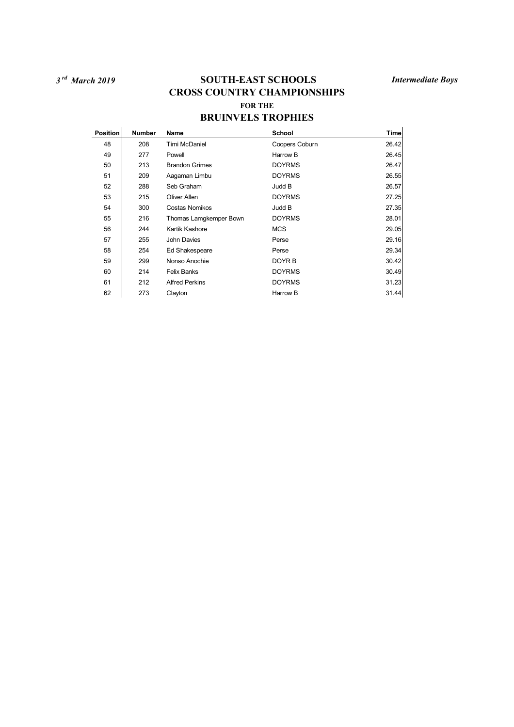| <b>Position</b> | <b>Number</b> | Name                   | <b>School</b>  | Time  |
|-----------------|---------------|------------------------|----------------|-------|
| 48              | 208           | Timi McDaniel          | Coopers Coburn | 26.42 |
| 49              | 277           | Powell                 | Harrow B       | 26.45 |
| 50              | 213           | <b>Brandon Grimes</b>  | <b>DOYRMS</b>  | 26.47 |
| 51              | 209           | Aagaman Limbu          | <b>DOYRMS</b>  | 26.55 |
| 52              | 288           | Seb Graham             | Judd B         | 26.57 |
| 53              | 215           | Oliver Allen           | <b>DOYRMS</b>  | 27.25 |
| 54              | 300           | Costas Nomikos         | Judd B         | 27.35 |
| 55              | 216           | Thomas Lamgkemper Bown | <b>DOYRMS</b>  | 28.01 |
| 56              | 244           | Kartik Kashore         | <b>MCS</b>     | 29.05 |
| 57              | 255           | John Davies            | Perse          | 29.16 |
| 58              | 254           | Ed Shakespeare         | Perse          | 29.34 |
| 59              | 299           | Nonso Anochie          | DOYR B         | 30.42 |
| 60              | 214           | <b>Felix Banks</b>     | <b>DOYRMS</b>  | 30.49 |
| 61              | 212           | <b>Alfred Perkins</b>  | <b>DOYRMS</b>  | 31.23 |
| 62              | 273           | Clayton                | Harrow B       | 31.44 |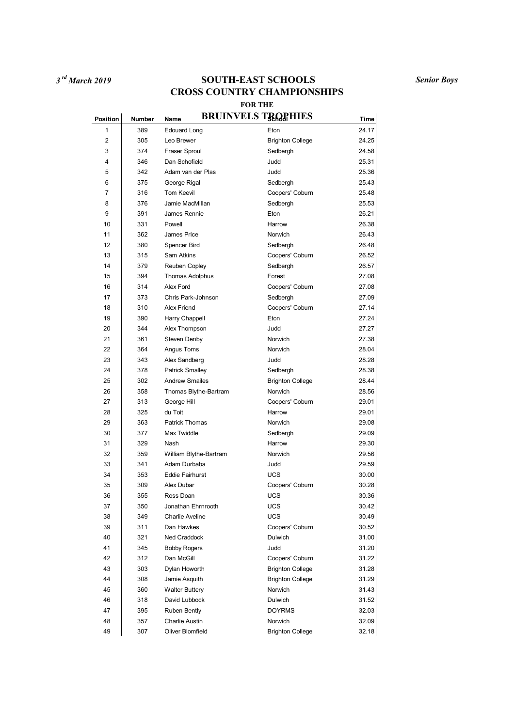*3 rd March 2019* **SOUTH-EAST SCHOOLS CROSS COUNTRY CHAMPIONSHIPS FOR THE**

*Senior Boys*

### $P$ osition Number Name BRUINVELS TROPHIES 1 389 Edouard Long **Eton** Eton 24.17 2 305 Leo Brewer Brighton College 24.25 3 374 Fraser Sproul Sedbergh 24.58 4 346 Dan Schofield Judd 25.31 5 342 Adam van der Plas Judd 25.36 6 375 George Rigal Sedbergh 25.43 7 316 Tom Keevil Coopers' Coburn 25.48 8 376 Jamie MacMillan Sedbergh 25.53 9 391 James Rennie 26.21 10 331 Powell Harrow 26.38 11 362 James Price **Norwich 26.43** 12 380 Spencer Bird Sedbergh 26.48 13 315 Sam Atkins Coopers' Coburn 26.52 14 379 Reuben Copley Sedbergh 26.57 15 394 Thomas Adolphus Forest Forest 27.08 16 314 Alex Ford Coopers' Coburn 27.08 17 373 Chris Park-Johnson Sedbergh 27.09 18 310 Alex Friend Coopers' Coburn 27.14 19 390 Harry Chappell Eton 27.24 20 344 Alex Thompson Judd 344 27.27 21 361 Steven Denby **Norwich** 27.38 22 364 Angus Toms Norwich 28.04 28.04 23 343 Alex Sandberg Judd Judd 28.28 24 378 Patrick Smalley Sedbergh 28.38 25 302 Andrew Smailes Brighton College 28.44 26 358 Thomas Blythe-Bartram Norwich 28.56 27 313 George Hill Coopers' Coburn 29.01 28 325 du Toit Harrow 29.01 29 363 Patrick Thomas Norwich 29.08 30 377 Max Twiddle Sedbergh 29.09 31 329 Nash Harrow 29.30 32 359 William Blythe-Bartram Norwich 29.56 33 341 Adam Durbaba Judd 29.59 34 353 Eddie Fairhurst UCS 30.00 35 309 Alex Dubar Coopers' Coburn 30.28 36 355 Ross Doan UCS 30.36 37 350 Jonathan Ehrnrooth UCS 30.42 38 349 Charlie Aveline UCS 30.49 39 311 Dan Hawkes Coopers' Coburn 30.52 40 321 Ned Craddock Dulwich 31.00 41 345 Bobby Rogers Judd 31.20 42 312 Dan McGill Coopers' Coburn 31.22 43 303 Dylan Howorth Brighton College 31.28 44 308 Jamie Asquith Brighton College 31.29 45 360 Walter Buttery Norwich 31.43 46 318 David Lubbock Dulwich 21.52 47 395 Ruben Bently DOYRMS 32.03 48 357 Charlie Austin Norwich 32.09

49 307 Oliver Blomfield Brighton College 32.18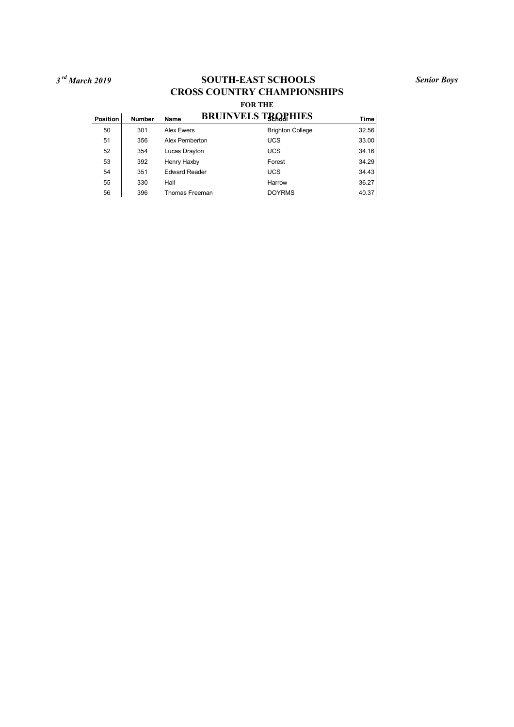*3 rd March 2019* **SOUTH-EAST SCHOOLS CROSS COUNTRY CHAMPIONSHIPS FOR THE**

### $P$ osition Number Name BRUINVELS TROPHIES 50 301 Alex Ewers Brighton College 32.56 51 356 Alex Pemberton UCS 33.00 52 354 Lucas Drayton **UCS** 34.16 53 392 Henry Haxby Forest Forest 34.29 54 351 Edward Reader UCS UCS 34.43 55 330 Hall Harrow 36.27 56 396 Thomas Freeman DOYRMS 40.37

*Senior Boys*